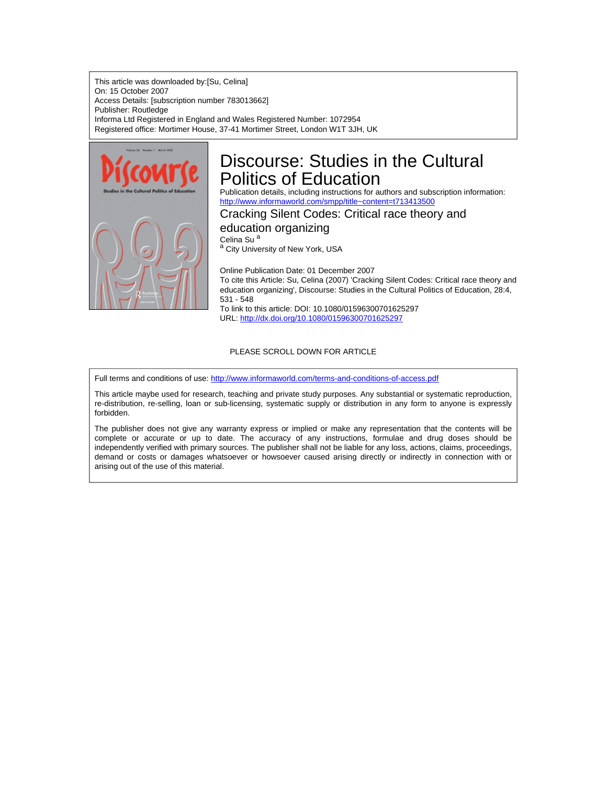This article was downloaded by:[Su, Celina] On: 15 October 2007 Access Details: [subscription number 783013662] Publisher: Routledge Informa Ltd Registered in England and Wales Registered Number: 1072954 Registered office: Mortimer House, 37-41 Mortimer Street, London W1T 3JH, UK



## Discourse: Studies in the Cultural Politics of Education

Publication details, including instructions for authors and subscription information: <http://www.informaworld.com/smpp/title~content=t713413500>

Cracking Silent Codes: Critical race theory and

education organizing

Celina Su<sup>a</sup>

a City University of New York, USA

Online Publication Date: 01 December 2007 To cite this Article: Su, Celina (2007) 'Cracking Silent Codes: Critical race theory and education organizing', Discourse: Studies in the Cultural Politics of Education, 28:4, 531 - 548

To link to this article: DOI: 10.1080/01596300701625297 URL: <http://dx.doi.org/10.1080/01596300701625297>

#### PLEASE SCROLL DOWN FOR ARTICLE

Full terms and conditions of use: <http://www.informaworld.com/terms-and-conditions-of-access.pdf>

This article maybe used for research, teaching and private study purposes. Any substantial or systematic reproduction, re-distribution, re-selling, loan or sub-licensing, systematic supply or distribution in any form to anyone is expressly forbidden.

The publisher does not give any warranty express or implied or make any representation that the contents will be complete or accurate or up to date. The accuracy of any instructions, formulae and drug doses should be independently verified with primary sources. The publisher shall not be liable for any loss, actions, claims, proceedings, demand or costs or damages whatsoever or howsoever caused arising directly or indirectly in connection with or arising out of the use of this material.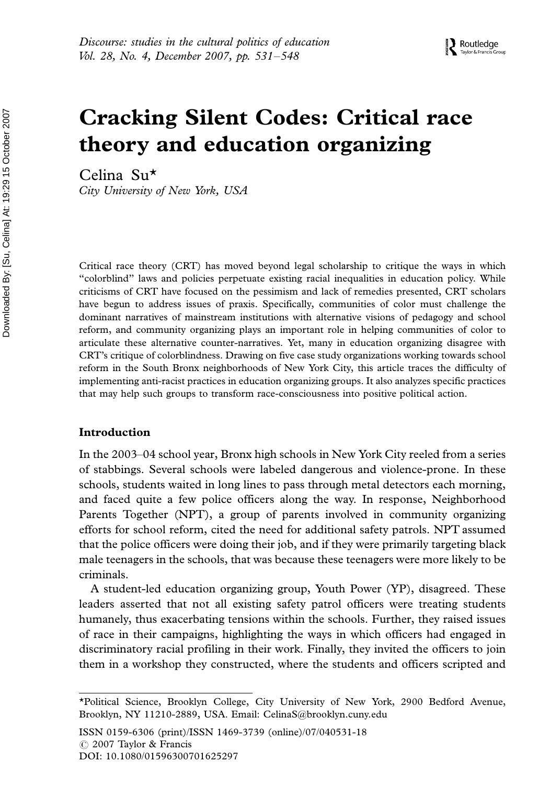# Cracking Silent Codes: Critical race theory and education organizing

Celina Su\*

City University of New York, USA

Critical race theory (CRT) has moved beyond legal scholarship to critique the ways in which ''colorblind'' laws and policies perpetuate existing racial inequalities in education policy. While criticisms of CRT have focused on the pessimism and lack of remedies presented, CRT scholars have begun to address issues of praxis. Specifically, communities of color must challenge the dominant narratives of mainstream institutions with alternative visions of pedagogy and school reform, and community organizing plays an important role in helping communities of color to articulate these alternative counter-narratives. Yet, many in education organizing disagree with CRT's critique of colorblindness. Drawing on five case study organizations working towards school reform in the South Bronx neighborhoods of New York City, this article traces the difficulty of implementing anti-racist practices in education organizing groups. It also analyzes specific practices that may help such groups to transform race-consciousness into positive political action.

## Introduction

In the 2003–04 school year, Bronx high schools in New York City reeled from a series of stabbings. Several schools were labeled dangerous and violence-prone. In these schools, students waited in long lines to pass through metal detectors each morning, and faced quite a few police officers along the way. In response, Neighborhood Parents Together (NPT), a group of parents involved in community organizing efforts for school reform, cited the need for additional safety patrols. NPT assumed that the police officers were doing their job, and if they were primarily targeting black male teenagers in the schools, that was because these teenagers were more likely to be criminals.

A student-led education organizing group, Youth Power (YP), disagreed. These leaders asserted that not all existing safety patrol officers were treating students humanely, thus exacerbating tensions within the schools. Further, they raised issues of race in their campaigns, highlighting the ways in which officers had engaged in discriminatory racial profiling in their work. Finally, they invited the officers to join them in a workshop they constructed, where the students and officers scripted and

<sup>\*</sup>Political Science, Brooklyn College, City University of New York, 2900 Bedford Avenue, Brooklyn, NY 11210-2889, USA. Email: CelinaS@brooklyn.cuny.edu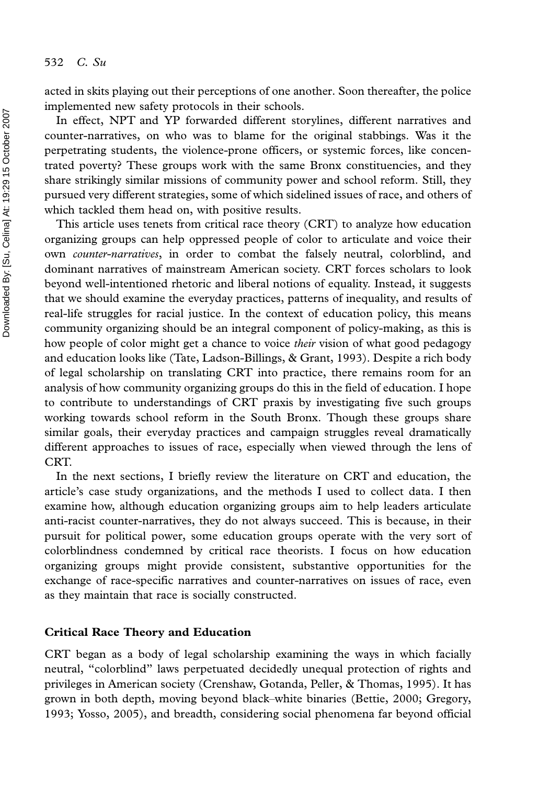acted in skits playing out their perceptions of one another. Soon thereafter, the police implemented new safety protocols in their schools.

In effect, NPT and YP forwarded different storylines, different narratives and counter-narratives, on who was to blame for the original stabbings. Was it the perpetrating students, the violence-prone officers, or systemic forces, like concentrated poverty? These groups work with the same Bronx constituencies, and they share strikingly similar missions of community power and school reform. Still, they pursued very different strategies, some of which sidelined issues of race, and others of which tackled them head on, with positive results.

This article uses tenets from critical race theory (CRT) to analyze how education organizing groups can help oppressed people of color to articulate and voice their own counter-narratives, in order to combat the falsely neutral, colorblind, and dominant narratives of mainstream American society. CRT forces scholars to look beyond well-intentioned rhetoric and liberal notions of equality. Instead, it suggests that we should examine the everyday practices, patterns of inequality, and results of real-life struggles for racial justice. In the context of education policy, this means community organizing should be an integral component of policy-making, as this is how people of color might get a chance to voice *their* vision of what good pedagogy and education looks like (Tate, Ladson-Billings, & Grant, 1993). Despite a rich body of legal scholarship on translating CRT into practice, there remains room for an analysis of how community organizing groups do this in the field of education. I hope to contribute to understandings of CRT praxis by investigating five such groups working towards school reform in the South Bronx. Though these groups share similar goals, their everyday practices and campaign struggles reveal dramatically different approaches to issues of race, especially when viewed through the lens of CRT.

In the next sections, I briefly review the literature on CRT and education, the article's case study organizations, and the methods I used to collect data. I then examine how, although education organizing groups aim to help leaders articulate anti-racist counter-narratives, they do not always succeed. This is because, in their pursuit for political power, some education groups operate with the very sort of colorblindness condemned by critical race theorists. I focus on how education organizing groups might provide consistent, substantive opportunities for the exchange of race-specific narratives and counter-narratives on issues of race, even as they maintain that race is socially constructed.

#### Critical Race Theory and Education

CRT began as a body of legal scholarship examining the ways in which facially neutral, ''colorblind'' laws perpetuated decidedly unequal protection of rights and privileges in American society (Crenshaw, Gotanda, Peller, & Thomas, 1995). It has grown in both depth, moving beyond black/white binaries (Bettie, 2000; Gregory, 1993; Yosso, 2005), and breadth, considering social phenomena far beyond official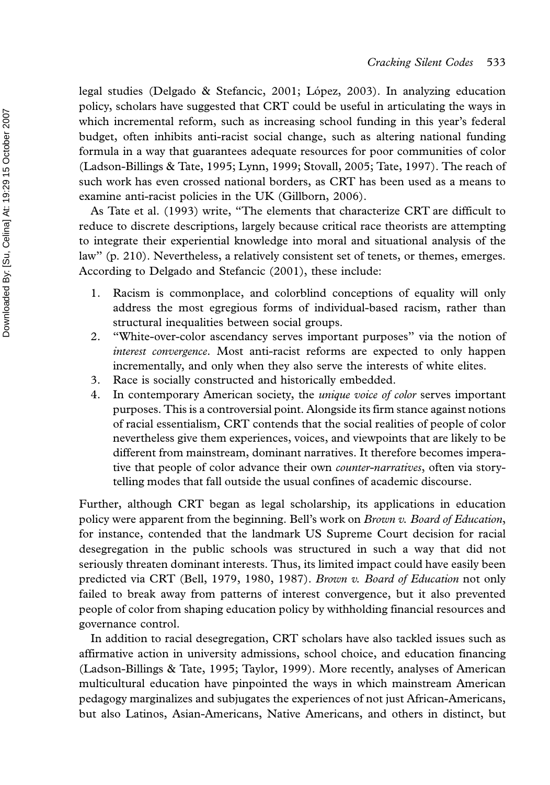legal studies (Delgado & Stefancic, 2001; López, 2003). In analyzing education policy, scholars have suggested that CRT could be useful in articulating the ways in which incremental reform, such as increasing school funding in this year's federal budget, often inhibits anti-racist social change, such as altering national funding formula in a way that guarantees adequate resources for poor communities of color (Ladson-Billings & Tate, 1995; Lynn, 1999; Stovall, 2005; Tate, 1997). The reach of such work has even crossed national borders, as CRT has been used as a means to examine anti-racist policies in the UK (Gillborn, 2006).

As Tate et al. (1993) write, ''The elements that characterize CRT are difficult to reduce to discrete descriptions, largely because critical race theorists are attempting to integrate their experiential knowledge into moral and situational analysis of the law'' (p. 210). Nevertheless, a relatively consistent set of tenets, or themes, emerges. According to Delgado and Stefancic (2001), these include:

- 1. Racism is commonplace, and colorblind conceptions of equality will only address the most egregious forms of individual-based racism, rather than structural inequalities between social groups.
- 2. ''White-over-color ascendancy serves important purposes'' via the notion of interest convergence. Most anti-racist reforms are expected to only happen incrementally, and only when they also serve the interests of white elites.
- 3. Race is socially constructed and historically embedded.
- 4. In contemporary American society, the unique voice of color serves important purposes. This is a controversial point. Alongside its firm stance against notions of racial essentialism, CRT contends that the social realities of people of color nevertheless give them experiences, voices, and viewpoints that are likely to be different from mainstream, dominant narratives. It therefore becomes imperative that people of color advance their own *counter-narratives*, often via storytelling modes that fall outside the usual confines of academic discourse.

Further, although CRT began as legal scholarship, its applications in education policy were apparent from the beginning. Bell's work on Brown v. Board of Education, for instance, contended that the landmark US Supreme Court decision for racial desegregation in the public schools was structured in such a way that did not seriously threaten dominant interests. Thus, its limited impact could have easily been predicted via CRT (Bell, 1979, 1980, 1987). Brown v. Board of Education not only failed to break away from patterns of interest convergence, but it also prevented people of color from shaping education policy by withholding financial resources and governance control.

In addition to racial desegregation, CRT scholars have also tackled issues such as affirmative action in university admissions, school choice, and education financing (Ladson-Billings & Tate, 1995; Taylor, 1999). More recently, analyses of American multicultural education have pinpointed the ways in which mainstream American pedagogy marginalizes and subjugates the experiences of not just African-Americans, but also Latinos, Asian-Americans, Native Americans, and others in distinct, but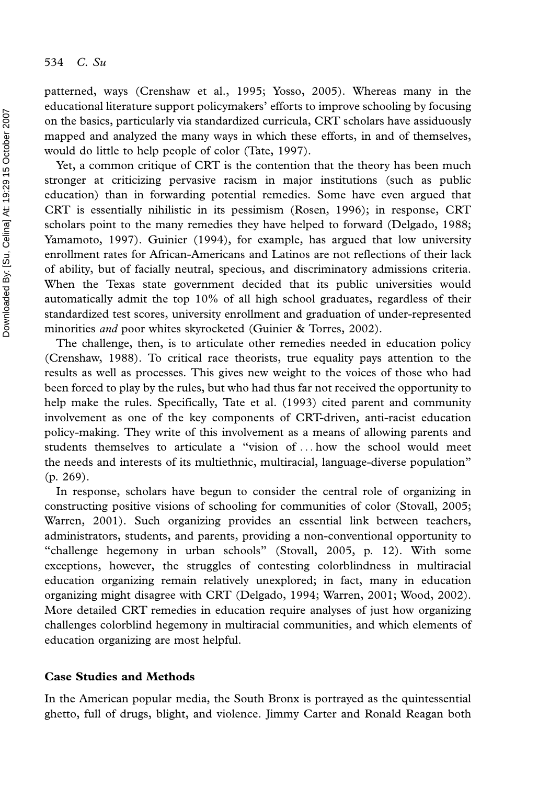patterned, ways (Crenshaw et al., 1995; Yosso, 2005). Whereas many in the educational literature support policymakers' efforts to improve schooling by focusing on the basics, particularly via standardized curricula, CRT scholars have assiduously mapped and analyzed the many ways in which these efforts, in and of themselves, would do little to help people of color (Tate, 1997).

Yet, a common critique of CRT is the contention that the theory has been much stronger at criticizing pervasive racism in major institutions (such as public education) than in forwarding potential remedies. Some have even argued that CRT is essentially nihilistic in its pessimism (Rosen, 1996); in response, CRT scholars point to the many remedies they have helped to forward (Delgado, 1988; Yamamoto, 1997). Guinier (1994), for example, has argued that low university enrollment rates for African-Americans and Latinos are not reflections of their lack of ability, but of facially neutral, specious, and discriminatory admissions criteria. When the Texas state government decided that its public universities would automatically admit the top 10% of all high school graduates, regardless of their standardized test scores, university enrollment and graduation of under-represented minorities and poor whites skyrocketed (Guinier & Torres, 2002).

The challenge, then, is to articulate other remedies needed in education policy (Crenshaw, 1988). To critical race theorists, true equality pays attention to the results as well as processes. This gives new weight to the voices of those who had been forced to play by the rules, but who had thus far not received the opportunity to help make the rules. Specifically, Tate et al. (1993) cited parent and community involvement as one of the key components of CRT-driven, anti-racist education policy-making. They write of this involvement as a means of allowing parents and students themselves to articulate a ''vision of ... how the school would meet the needs and interests of its multiethnic, multiracial, language-diverse population'' (p. 269).

In response, scholars have begun to consider the central role of organizing in constructing positive visions of schooling for communities of color (Stovall, 2005; Warren, 2001). Such organizing provides an essential link between teachers, administrators, students, and parents, providing a non-conventional opportunity to "challenge hegemony in urban schools" (Stovall, 2005, p. 12). With some exceptions, however, the struggles of contesting colorblindness in multiracial education organizing remain relatively unexplored; in fact, many in education organizing might disagree with CRT (Delgado, 1994; Warren, 2001; Wood, 2002). More detailed CRT remedies in education require analyses of just how organizing challenges colorblind hegemony in multiracial communities, and which elements of education organizing are most helpful.

### Case Studies and Methods

In the American popular media, the South Bronx is portrayed as the quintessential ghetto, full of drugs, blight, and violence. Jimmy Carter and Ronald Reagan both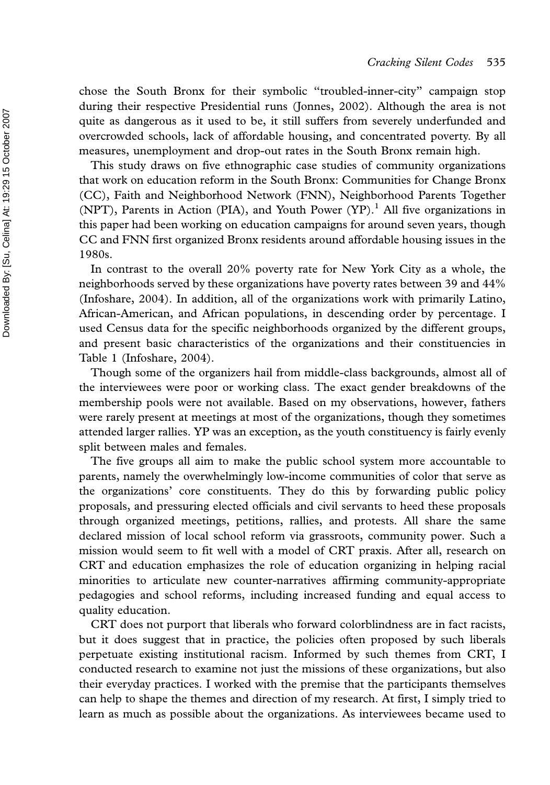chose the South Bronx for their symbolic ''troubled-inner-city'' campaign stop during their respective Presidential runs (Jonnes, 2002). Although the area is not quite as dangerous as it used to be, it still suffers from severely underfunded and overcrowded schools, lack of affordable housing, and concentrated poverty. By all measures, unemployment and drop-out rates in the South Bronx remain high.

This study draws on five ethnographic case studies of community organizations that work on education reform in the South Bronx: Communities for Change Bronx (CC), Faith and Neighborhood Network (FNN), Neighborhood Parents Together (NPT), Parents in Action (PIA), and Youth Power  $(YP)$ .<sup>1</sup> All five organizations in this paper had been working on education campaigns for around seven years, though CC and FNN first organized Bronx residents around affordable housing issues in the 1980s.

In contrast to the overall 20% poverty rate for New York City as a whole, the neighborhoods served by these organizations have poverty rates between 39 and 44% (Infoshare, 2004). In addition, all of the organizations work with primarily Latino, African-American, and African populations, in descending order by percentage. I used Census data for the specific neighborhoods organized by the different groups, and present basic characteristics of the organizations and their constituencies in Table 1 (Infoshare, 2004).

Though some of the organizers hail from middle-class backgrounds, almost all of the interviewees were poor or working class. The exact gender breakdowns of the membership pools were not available. Based on my observations, however, fathers were rarely present at meetings at most of the organizations, though they sometimes attended larger rallies. YP was an exception, as the youth constituency is fairly evenly split between males and females.

The five groups all aim to make the public school system more accountable to parents, namely the overwhelmingly low-income communities of color that serve as the organizations' core constituents. They do this by forwarding public policy proposals, and pressuring elected officials and civil servants to heed these proposals through organized meetings, petitions, rallies, and protests. All share the same declared mission of local school reform via grassroots, community power. Such a mission would seem to fit well with a model of CRT praxis. After all, research on CRT and education emphasizes the role of education organizing in helping racial minorities to articulate new counter-narratives affirming community-appropriate pedagogies and school reforms, including increased funding and equal access to quality education.

CRT does not purport that liberals who forward colorblindness are in fact racists, but it does suggest that in practice, the policies often proposed by such liberals perpetuate existing institutional racism. Informed by such themes from CRT, I conducted research to examine not just the missions of these organizations, but also their everyday practices. I worked with the premise that the participants themselves can help to shape the themes and direction of my research. At first, I simply tried to learn as much as possible about the organizations. As interviewees became used to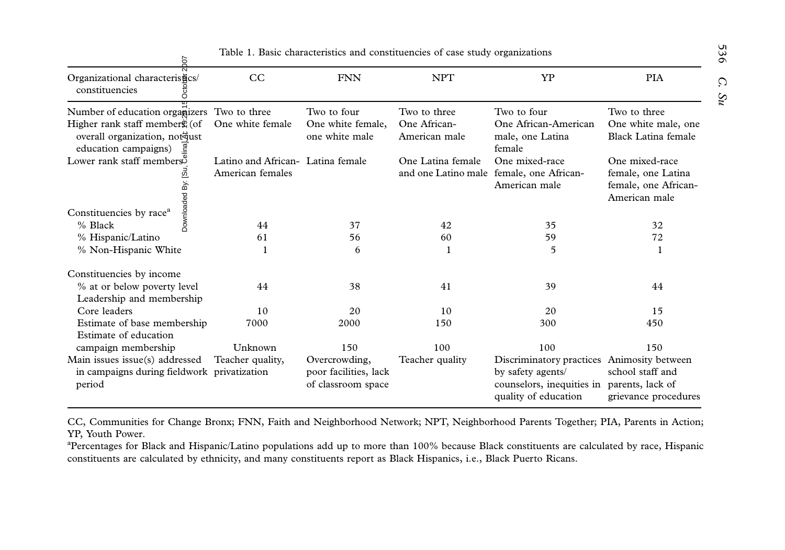| Table 1. Dasie characteristics and constituencies of ease study organizations<br>2007   |                                                       |                                                              |                               |                                                                                                                                       |                                                                               |
|-----------------------------------------------------------------------------------------|-------------------------------------------------------|--------------------------------------------------------------|-------------------------------|---------------------------------------------------------------------------------------------------------------------------------------|-------------------------------------------------------------------------------|
| Organizational characteristics/<br>constituencies                                       | CC                                                    | <b>FNN</b>                                                   | <b>NPT</b>                    | YP                                                                                                                                    | <b>PIA</b>                                                                    |
| Number of education organizers Two to three                                             |                                                       | Two to four                                                  | Two to three                  | Two to four                                                                                                                           | Two to three                                                                  |
| Higher rank staff member (of<br>overall organization, not just<br>education campaigns)  | One white female                                      | One white female,<br>one white male                          | One African-<br>American male | One African-American<br>male, one Latina<br>female                                                                                    | One white male, one<br>Black Latina female                                    |
| Lower rank staff members<br>By: [Su<br>Downloaded                                       | Latino and African- Latina female<br>American females |                                                              | One Latina female             | One mixed-race<br>and one Latino male female, one African-<br>American male                                                           | One mixed-race<br>female, one Latina<br>female, one African-<br>American male |
| Constituencies by race <sup>a</sup>                                                     |                                                       |                                                              |                               |                                                                                                                                       |                                                                               |
| $%$ Black                                                                               | 44                                                    | 37                                                           | 42                            | 35                                                                                                                                    | 32                                                                            |
| % Hispanic/Latino                                                                       | 61                                                    | 56                                                           | 60                            | 59                                                                                                                                    | 72                                                                            |
| % Non-Hispanic White                                                                    |                                                       | 6                                                            | 1                             | 5                                                                                                                                     |                                                                               |
| Constituencies by income                                                                |                                                       |                                                              |                               |                                                                                                                                       |                                                                               |
| % at or below poverty level<br>Leadership and membership                                | 44                                                    | 38                                                           | 41                            | 39                                                                                                                                    | 44                                                                            |
| Core leaders                                                                            | 10                                                    | 20                                                           | 10                            | 20                                                                                                                                    | 15                                                                            |
| Estimate of base membership<br>Estimate of education                                    | 7000                                                  | 2000                                                         | 150                           | 300                                                                                                                                   | 450                                                                           |
| campaign membership                                                                     | Unknown                                               | 150                                                          | 100                           | 100                                                                                                                                   | 150                                                                           |
| Main issues issue(s) addressed<br>in campaigns during fieldwork privatization<br>period | Teacher quality,                                      | Overcrowding,<br>poor facilities, lack<br>of classroom space | Teacher quality               | Discriminatory practices Animosity between<br>by safety agents/<br>counselors, inequities in parents, lack of<br>quality of education | school staff and<br>grievance procedures                                      |

Table 1. Basic characteristics and constituencies of case study organizations

CC, Communities for Change Bronx; FNN, Faith and Neighborhood Network; NPT, Neighborhood Parents Together; PIA, Parents in Action; YP, Youth Power.

aPercentages for Black and Hispanic/Latino populations add up to more than 100% because Black constituents are calculated by race, Hispanic constituents are calculated by ethnicity, and many constituents report as Black Hispanics, i.e., Black Puerto Ricans.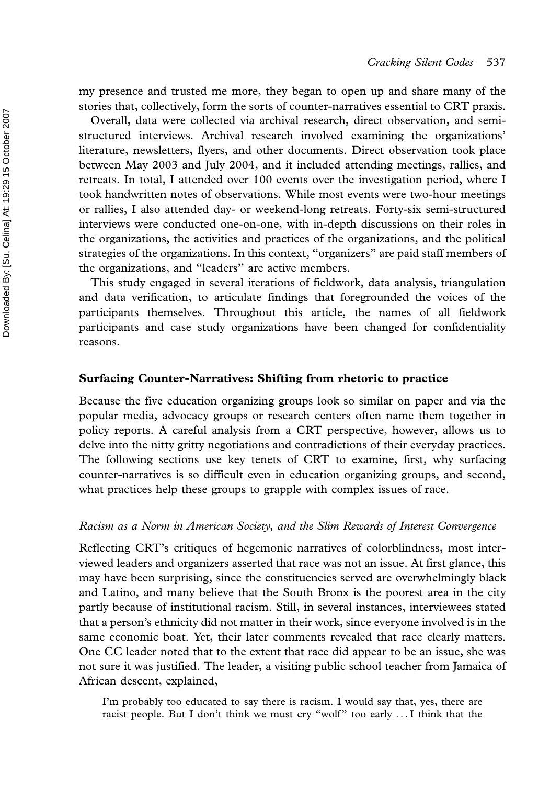my presence and trusted me more, they began to open up and share many of the stories that, collectively, form the sorts of counter-narratives essential to CRT praxis.

Overall, data were collected via archival research, direct observation, and semistructured interviews. Archival research involved examining the organizations' literature, newsletters, flyers, and other documents. Direct observation took place between May 2003 and July 2004, and it included attending meetings, rallies, and retreats. In total, I attended over 100 events over the investigation period, where I took handwritten notes of observations. While most events were two-hour meetings or rallies, I also attended day- or weekend-long retreats. Forty-six semi-structured interviews were conducted one-on-one, with in-depth discussions on their roles in the organizations, the activities and practices of the organizations, and the political strategies of the organizations. In this context, ''organizers'' are paid staff members of the organizations, and ''leaders'' are active members.

This study engaged in several iterations of fieldwork, data analysis, triangulation and data verification, to articulate findings that foregrounded the voices of the participants themselves. Throughout this article, the names of all fieldwork participants and case study organizations have been changed for confidentiality reasons.

#### Surfacing Counter-Narratives: Shifting from rhetoric to practice

Because the five education organizing groups look so similar on paper and via the popular media, advocacy groups or research centers often name them together in policy reports. A careful analysis from a CRT perspective, however, allows us to delve into the nitty gritty negotiations and contradictions of their everyday practices. The following sections use key tenets of CRT to examine, first, why surfacing counter-narratives is so difficult even in education organizing groups, and second, what practices help these groups to grapple with complex issues of race.

#### Racism as a Norm in American Society, and the Slim Rewards of Interest Convergence

Reflecting CRT's critiques of hegemonic narratives of colorblindness, most interviewed leaders and organizers asserted that race was not an issue. At first glance, this may have been surprising, since the constituencies served are overwhelmingly black and Latino, and many believe that the South Bronx is the poorest area in the city partly because of institutional racism. Still, in several instances, interviewees stated that a person's ethnicity did not matter in their work, since everyone involved is in the same economic boat. Yet, their later comments revealed that race clearly matters. One CC leader noted that to the extent that race did appear to be an issue, she was not sure it was justified. The leader, a visiting public school teacher from Jamaica of African descent, explained,

I'm probably too educated to say there is racism. I would say that, yes, there are racist people. But I don't think we must cry ''wolf'' too early ... I think that the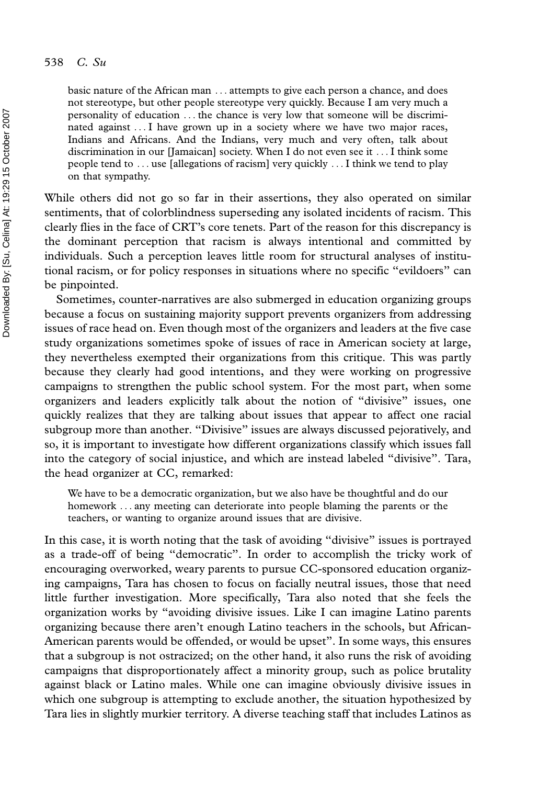basic nature of the African man ... attempts to give each person a chance, and does not stereotype, but other people stereotype very quickly. Because I am very much a personality of education ... the chance is very low that someone will be discriminated against ... I have grown up in a society where we have two major races, Indians and Africans. And the Indians, very much and very often, talk about discrimination in our [Jamaican] society. When I do not even see it ... I think some people tend to ... use [allegations of racism] very quickly ... I think we tend to play on that sympathy.

While others did not go so far in their assertions, they also operated on similar sentiments, that of colorblindness superseding any isolated incidents of racism. This clearly flies in the face of CRT's core tenets. Part of the reason for this discrepancy is the dominant perception that racism is always intentional and committed by individuals. Such a perception leaves little room for structural analyses of institutional racism, or for policy responses in situations where no specific ''evildoers'' can be pinpointed.

Sometimes, counter-narratives are also submerged in education organizing groups because a focus on sustaining majority support prevents organizers from addressing issues of race head on. Even though most of the organizers and leaders at the five case study organizations sometimes spoke of issues of race in American society at large, they nevertheless exempted their organizations from this critique. This was partly because they clearly had good intentions, and they were working on progressive campaigns to strengthen the public school system. For the most part, when some organizers and leaders explicitly talk about the notion of ''divisive'' issues, one quickly realizes that they are talking about issues that appear to affect one racial subgroup more than another. ''Divisive'' issues are always discussed pejoratively, and so, it is important to investigate how different organizations classify which issues fall into the category of social injustice, and which are instead labeled ''divisive''. Tara, the head organizer at CC, remarked:

We have to be a democratic organization, but we also have be thoughtful and do our homework ... any meeting can deteriorate into people blaming the parents or the teachers, or wanting to organize around issues that are divisive.

In this case, it is worth noting that the task of avoiding ''divisive'' issues is portrayed as a trade-off of being ''democratic''. In order to accomplish the tricky work of encouraging overworked, weary parents to pursue CC-sponsored education organizing campaigns, Tara has chosen to focus on facially neutral issues, those that need little further investigation. More specifically, Tara also noted that she feels the organization works by ''avoiding divisive issues. Like I can imagine Latino parents organizing because there aren't enough Latino teachers in the schools, but African-American parents would be offended, or would be upset''. In some ways, this ensures that a subgroup is not ostracized; on the other hand, it also runs the risk of avoiding campaigns that disproportionately affect a minority group, such as police brutality against black or Latino males. While one can imagine obviously divisive issues in which one subgroup is attempting to exclude another, the situation hypothesized by Tara lies in slightly murkier territory. A diverse teaching staff that includes Latinos as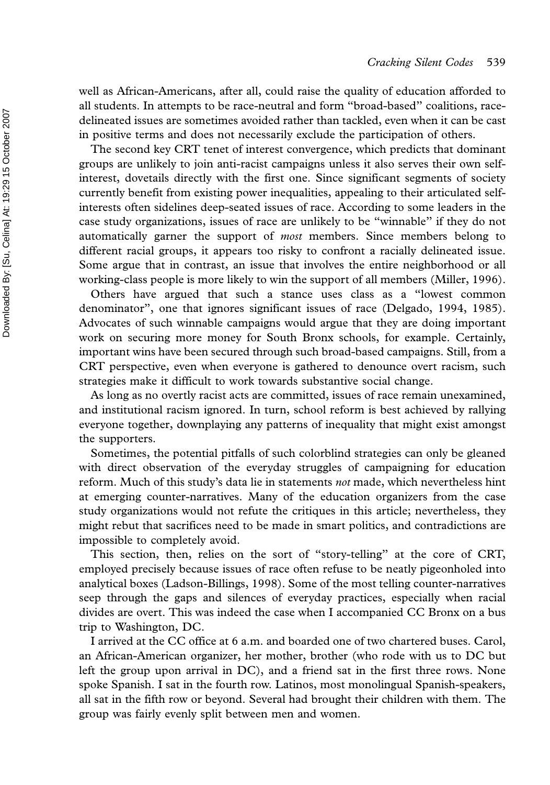well as African-Americans, after all, could raise the quality of education afforded to all students. In attempts to be race-neutral and form ''broad-based'' coalitions, racedelineated issues are sometimes avoided rather than tackled, even when it can be cast in positive terms and does not necessarily exclude the participation of others.

The second key CRT tenet of interest convergence, which predicts that dominant groups are unlikely to join anti-racist campaigns unless it also serves their own selfinterest, dovetails directly with the first one. Since significant segments of society currently benefit from existing power inequalities, appealing to their articulated selfinterests often sidelines deep-seated issues of race. According to some leaders in the case study organizations, issues of race are unlikely to be ''winnable'' if they do not automatically garner the support of most members. Since members belong to different racial groups, it appears too risky to confront a racially delineated issue. Some argue that in contrast, an issue that involves the entire neighborhood or all working-class people is more likely to win the support of all members (Miller, 1996).

Others have argued that such a stance uses class as a ''lowest common denominator'', one that ignores significant issues of race (Delgado, 1994, 1985). Advocates of such winnable campaigns would argue that they are doing important work on securing more money for South Bronx schools, for example. Certainly, important wins have been secured through such broad-based campaigns. Still, from a CRT perspective, even when everyone is gathered to denounce overt racism, such strategies make it difficult to work towards substantive social change.

As long as no overtly racist acts are committed, issues of race remain unexamined, and institutional racism ignored. In turn, school reform is best achieved by rallying everyone together, downplaying any patterns of inequality that might exist amongst the supporters.

Sometimes, the potential pitfalls of such colorblind strategies can only be gleaned with direct observation of the everyday struggles of campaigning for education reform. Much of this study's data lie in statements *not* made, which nevertheless hint at emerging counter-narratives. Many of the education organizers from the case study organizations would not refute the critiques in this article; nevertheless, they might rebut that sacrifices need to be made in smart politics, and contradictions are impossible to completely avoid.

This section, then, relies on the sort of ''story-telling'' at the core of CRT, employed precisely because issues of race often refuse to be neatly pigeonholed into analytical boxes (Ladson-Billings, 1998). Some of the most telling counter-narratives seep through the gaps and silences of everyday practices, especially when racial divides are overt. This was indeed the case when I accompanied CC Bronx on a bus trip to Washington, DC.

I arrived at the CC office at 6 a.m. and boarded one of two chartered buses. Carol, an African-American organizer, her mother, brother (who rode with us to DC but left the group upon arrival in DC), and a friend sat in the first three rows. None spoke Spanish. I sat in the fourth row. Latinos, most monolingual Spanish-speakers, all sat in the fifth row or beyond. Several had brought their children with them. The group was fairly evenly split between men and women.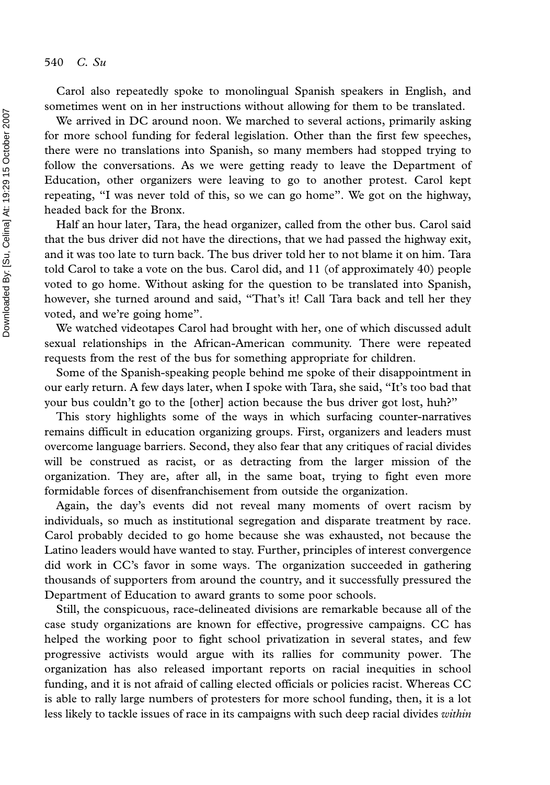Carol also repeatedly spoke to monolingual Spanish speakers in English, and sometimes went on in her instructions without allowing for them to be translated.

We arrived in DC around noon. We marched to several actions, primarily asking for more school funding for federal legislation. Other than the first few speeches, there were no translations into Spanish, so many members had stopped trying to follow the conversations. As we were getting ready to leave the Department of Education, other organizers were leaving to go to another protest. Carol kept repeating, ''I was never told of this, so we can go home''. We got on the highway, headed back for the Bronx.

Half an hour later, Tara, the head organizer, called from the other bus. Carol said that the bus driver did not have the directions, that we had passed the highway exit, and it was too late to turn back. The bus driver told her to not blame it on him. Tara told Carol to take a vote on the bus. Carol did, and 11 (of approximately 40) people voted to go home. Without asking for the question to be translated into Spanish, however, she turned around and said, ''That's it! Call Tara back and tell her they voted, and we're going home''.

We watched videotapes Carol had brought with her, one of which discussed adult sexual relationships in the African-American community. There were repeated requests from the rest of the bus for something appropriate for children.

Some of the Spanish-speaking people behind me spoke of their disappointment in our early return. A few days later, when I spoke with Tara, she said, ''It's too bad that your bus couldn't go to the [other] action because the bus driver got lost, huh?''

This story highlights some of the ways in which surfacing counter-narratives remains difficult in education organizing groups. First, organizers and leaders must overcome language barriers. Second, they also fear that any critiques of racial divides will be construed as racist, or as detracting from the larger mission of the organization. They are, after all, in the same boat, trying to fight even more formidable forces of disenfranchisement from outside the organization.

Again, the day's events did not reveal many moments of overt racism by individuals, so much as institutional segregation and disparate treatment by race. Carol probably decided to go home because she was exhausted, not because the Latino leaders would have wanted to stay. Further, principles of interest convergence did work in CC's favor in some ways. The organization succeeded in gathering thousands of supporters from around the country, and it successfully pressured the Department of Education to award grants to some poor schools.

Still, the conspicuous, race-delineated divisions are remarkable because all of the case study organizations are known for effective, progressive campaigns. CC has helped the working poor to fight school privatization in several states, and few progressive activists would argue with its rallies for community power. The organization has also released important reports on racial inequities in school funding, and it is not afraid of calling elected officials or policies racist. Whereas CC is able to rally large numbers of protesters for more school funding, then, it is a lot less likely to tackle issues of race in its campaigns with such deep racial divides within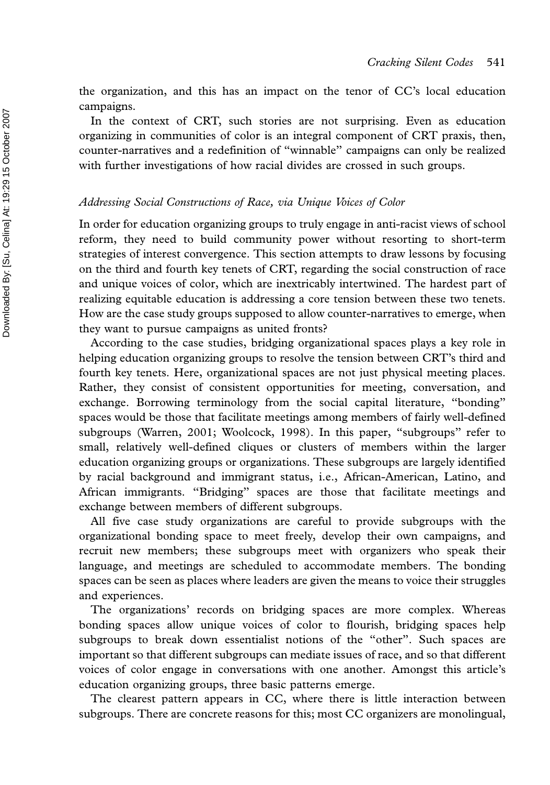the organization, and this has an impact on the tenor of CC's local education campaigns.

In the context of CRT, such stories are not surprising. Even as education organizing in communities of color is an integral component of CRT praxis, then, counter-narratives and a redefinition of ''winnable'' campaigns can only be realized with further investigations of how racial divides are crossed in such groups.

#### Addressing Social Constructions of Race, via Unique Voices of Color

In order for education organizing groups to truly engage in anti-racist views of school reform, they need to build community power without resorting to short-term strategies of interest convergence. This section attempts to draw lessons by focusing on the third and fourth key tenets of CRT, regarding the social construction of race and unique voices of color, which are inextricably intertwined. The hardest part of realizing equitable education is addressing a core tension between these two tenets. How are the case study groups supposed to allow counter-narratives to emerge, when they want to pursue campaigns as united fronts?

According to the case studies, bridging organizational spaces plays a key role in helping education organizing groups to resolve the tension between CRT's third and fourth key tenets. Here, organizational spaces are not just physical meeting places. Rather, they consist of consistent opportunities for meeting, conversation, and exchange. Borrowing terminology from the social capital literature, ''bonding'' spaces would be those that facilitate meetings among members of fairly well-defined subgroups (Warren, 2001; Woolcock, 1998). In this paper, ''subgroups'' refer to small, relatively well-defined cliques or clusters of members within the larger education organizing groups or organizations. These subgroups are largely identified by racial background and immigrant status, i.e., African-American, Latino, and African immigrants. ''Bridging'' spaces are those that facilitate meetings and exchange between members of different subgroups.

All five case study organizations are careful to provide subgroups with the organizational bonding space to meet freely, develop their own campaigns, and recruit new members; these subgroups meet with organizers who speak their language, and meetings are scheduled to accommodate members. The bonding spaces can be seen as places where leaders are given the means to voice their struggles and experiences.

The organizations' records on bridging spaces are more complex. Whereas bonding spaces allow unique voices of color to flourish, bridging spaces help subgroups to break down essentialist notions of the "other". Such spaces are important so that different subgroups can mediate issues of race, and so that different voices of color engage in conversations with one another. Amongst this article's education organizing groups, three basic patterns emerge.

The clearest pattern appears in CC, where there is little interaction between subgroups. There are concrete reasons for this; most CC organizers are monolingual,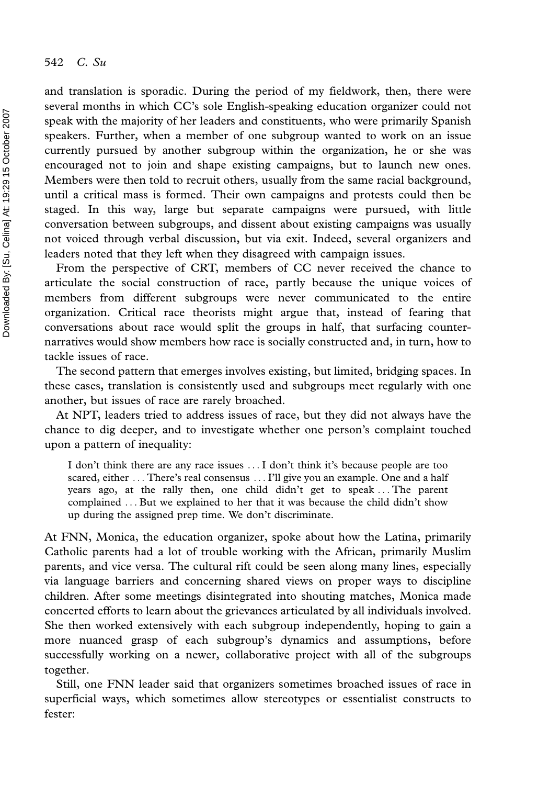and translation is sporadic. During the period of my fieldwork, then, there were several months in which CC's sole English-speaking education organizer could not speak with the majority of her leaders and constituents, who were primarily Spanish speakers. Further, when a member of one subgroup wanted to work on an issue currently pursued by another subgroup within the organization, he or she was encouraged not to join and shape existing campaigns, but to launch new ones. Members were then told to recruit others, usually from the same racial background, until a critical mass is formed. Their own campaigns and protests could then be staged. In this way, large but separate campaigns were pursued, with little conversation between subgroups, and dissent about existing campaigns was usually not voiced through verbal discussion, but via exit. Indeed, several organizers and leaders noted that they left when they disagreed with campaign issues.

From the perspective of CRT, members of CC never received the chance to articulate the social construction of race, partly because the unique voices of members from different subgroups were never communicated to the entire organization. Critical race theorists might argue that, instead of fearing that conversations about race would split the groups in half, that surfacing counternarratives would show members how race is socially constructed and, in turn, how to tackle issues of race.

The second pattern that emerges involves existing, but limited, bridging spaces. In these cases, translation is consistently used and subgroups meet regularly with one another, but issues of race are rarely broached.

At NPT, leaders tried to address issues of race, but they did not always have the chance to dig deeper, and to investigate whether one person's complaint touched upon a pattern of inequality:

I don't think there are any race issues ... I don't think it's because people are too scared, either ... There's real consensus ... I'll give you an example. One and a half years ago, at the rally then, one child didn't get to speak ... The parent complained ... But we explained to her that it was because the child didn't show up during the assigned prep time. We don't discriminate.

At FNN, Monica, the education organizer, spoke about how the Latina, primarily Catholic parents had a lot of trouble working with the African, primarily Muslim parents, and vice versa. The cultural rift could be seen along many lines, especially via language barriers and concerning shared views on proper ways to discipline children. After some meetings disintegrated into shouting matches, Monica made concerted efforts to learn about the grievances articulated by all individuals involved. She then worked extensively with each subgroup independently, hoping to gain a more nuanced grasp of each subgroup's dynamics and assumptions, before successfully working on a newer, collaborative project with all of the subgroups together.

Still, one FNN leader said that organizers sometimes broached issues of race in superficial ways, which sometimes allow stereotypes or essentialist constructs to fester: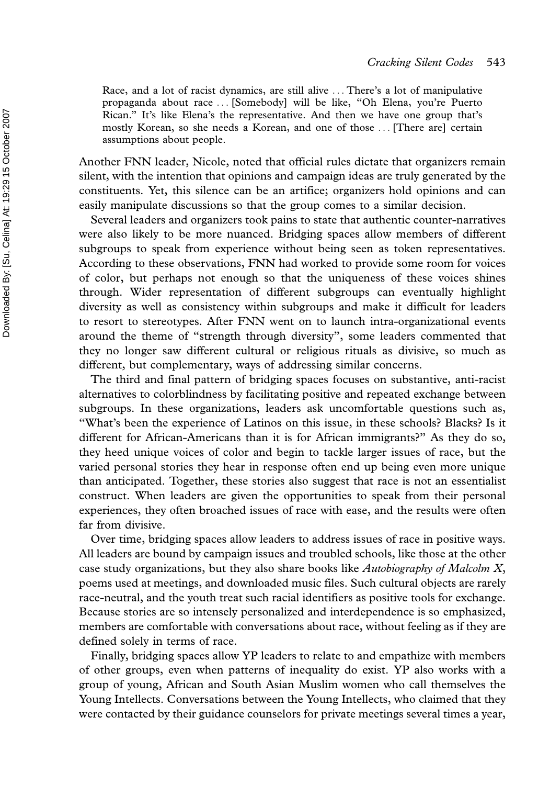Race, and a lot of racist dynamics, are still alive ... There's a lot of manipulative propaganda about race ... [Somebody] will be like, ''Oh Elena, you're Puerto Rican.'' It's like Elena's the representative. And then we have one group that's mostly Korean, so she needs a Korean, and one of those ... [There are] certain assumptions about people.

Another FNN leader, Nicole, noted that official rules dictate that organizers remain silent, with the intention that opinions and campaign ideas are truly generated by the constituents. Yet, this silence can be an artifice; organizers hold opinions and can easily manipulate discussions so that the group comes to a similar decision.

Several leaders and organizers took pains to state that authentic counter-narratives were also likely to be more nuanced. Bridging spaces allow members of different subgroups to speak from experience without being seen as token representatives. According to these observations, FNN had worked to provide some room for voices of color, but perhaps not enough so that the uniqueness of these voices shines through. Wider representation of different subgroups can eventually highlight diversity as well as consistency within subgroups and make it difficult for leaders to resort to stereotypes. After FNN went on to launch intra-organizational events around the theme of ''strength through diversity'', some leaders commented that they no longer saw different cultural or religious rituals as divisive, so much as different, but complementary, ways of addressing similar concerns.

The third and final pattern of bridging spaces focuses on substantive, anti-racist alternatives to colorblindness by facilitating positive and repeated exchange between subgroups. In these organizations, leaders ask uncomfortable questions such as, ''What's been the experience of Latinos on this issue, in these schools? Blacks? Is it different for African-Americans than it is for African immigrants?'' As they do so, they heed unique voices of color and begin to tackle larger issues of race, but the varied personal stories they hear in response often end up being even more unique than anticipated. Together, these stories also suggest that race is not an essentialist construct. When leaders are given the opportunities to speak from their personal experiences, they often broached issues of race with ease, and the results were often far from divisive.

Over time, bridging spaces allow leaders to address issues of race in positive ways. All leaders are bound by campaign issues and troubled schools, like those at the other case study organizations, but they also share books like Autobiography of Malcolm X, poems used at meetings, and downloaded music files. Such cultural objects are rarely race-neutral, and the youth treat such racial identifiers as positive tools for exchange. Because stories are so intensely personalized and interdependence is so emphasized, members are comfortable with conversations about race, without feeling as if they are defined solely in terms of race.

Finally, bridging spaces allow YP leaders to relate to and empathize with members of other groups, even when patterns of inequality do exist. YP also works with a group of young, African and South Asian Muslim women who call themselves the Young Intellects. Conversations between the Young Intellects, who claimed that they were contacted by their guidance counselors for private meetings several times a year,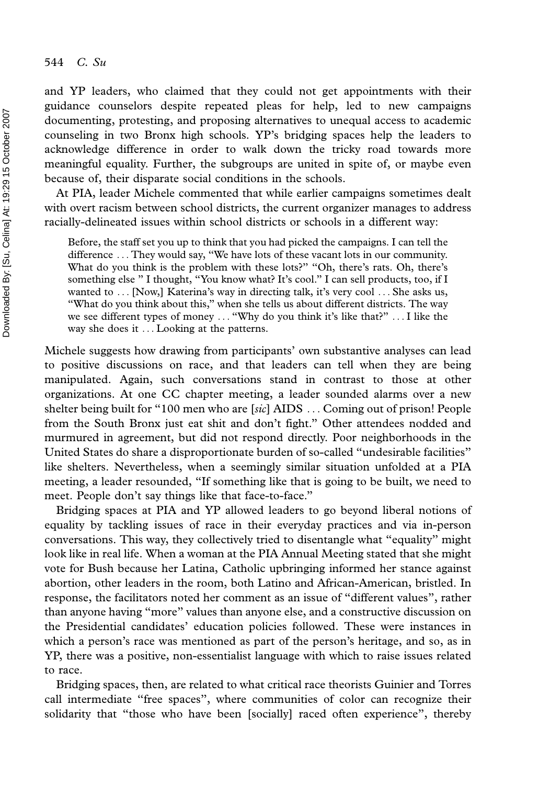and YP leaders, who claimed that they could not get appointments with their guidance counselors despite repeated pleas for help, led to new campaigns documenting, protesting, and proposing alternatives to unequal access to academic counseling in two Bronx high schools. YP's bridging spaces help the leaders to acknowledge difference in order to walk down the tricky road towards more meaningful equality. Further, the subgroups are united in spite of, or maybe even because of, their disparate social conditions in the schools.

At PIA, leader Michele commented that while earlier campaigns sometimes dealt with overt racism between school districts, the current organizer manages to address racially-delineated issues within school districts or schools in a different way:

Before, the staff set you up to think that you had picked the campaigns. I can tell the difference ... They would say, ''We have lots of these vacant lots in our community. What do you think is the problem with these lots?" "Oh, there's rats. Oh, there's something else '' I thought, ''You know what? It's cool.'' I can sell products, too, if I wanted to ... [Now,] Katerina's way in directing talk, it's very cool ... She asks us, ''What do you think about this,'' when she tells us about different districts. The way we see different types of money ... ''Why do you think it's like that?'' ... I like the way she does it ... Looking at the patterns.

Michele suggests how drawing from participants' own substantive analyses can lead to positive discussions on race, and that leaders can tell when they are being manipulated. Again, such conversations stand in contrast to those at other organizations. At one CC chapter meeting, a leader sounded alarms over a new shelter being built for ''100 men who are [sic] AIDS ... Coming out of prison! People from the South Bronx just eat shit and don't fight.'' Other attendees nodded and murmured in agreement, but did not respond directly. Poor neighborhoods in the United States do share a disproportionate burden of so-called ''undesirable facilities'' like shelters. Nevertheless, when a seemingly similar situation unfolded at a PIA meeting, a leader resounded, ''If something like that is going to be built, we need to meet. People don't say things like that face-to-face.''

Bridging spaces at PIA and YP allowed leaders to go beyond liberal notions of equality by tackling issues of race in their everyday practices and via in-person conversations. This way, they collectively tried to disentangle what ''equality'' might look like in real life. When a woman at the PIA Annual Meeting stated that she might vote for Bush because her Latina, Catholic upbringing informed her stance against abortion, other leaders in the room, both Latino and African-American, bristled. In response, the facilitators noted her comment as an issue of ''different values'', rather than anyone having ''more'' values than anyone else, and a constructive discussion on the Presidential candidates' education policies followed. These were instances in which a person's race was mentioned as part of the person's heritage, and so, as in YP, there was a positive, non-essentialist language with which to raise issues related to race.

Bridging spaces, then, are related to what critical race theorists Guinier and Torres call intermediate ''free spaces'', where communities of color can recognize their solidarity that ''those who have been [socially] raced often experience'', thereby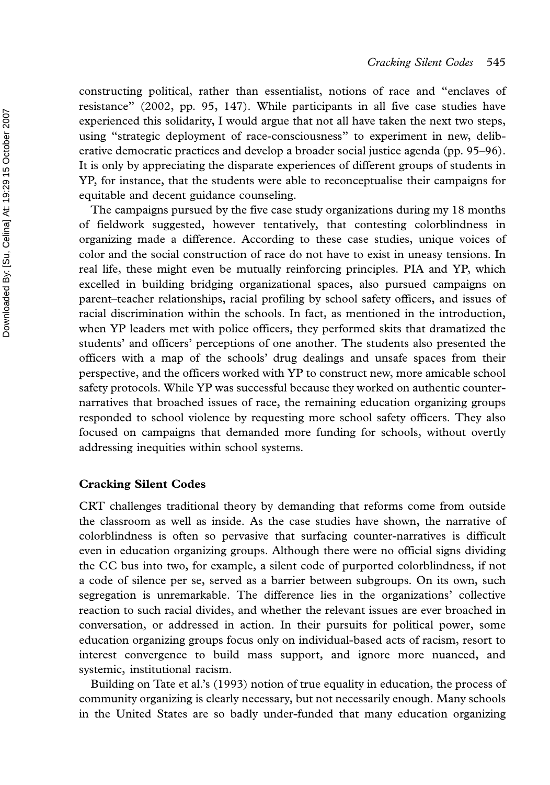constructing political, rather than essentialist, notions of race and ''enclaves of resistance'' (2002, pp. 95, 147). While participants in all five case studies have experienced this solidarity, I would argue that not all have taken the next two steps, using ''strategic deployment of race-consciousness'' to experiment in new, deliberative democratic practices and develop a broader social justice agenda (pp. 95–96). It is only by appreciating the disparate experiences of different groups of students in YP, for instance, that the students were able to reconceptualise their campaigns for equitable and decent guidance counseling.

The campaigns pursued by the five case study organizations during my 18 months of fieldwork suggested, however tentatively, that contesting colorblindness in organizing made a difference. According to these case studies, unique voices of color and the social construction of race do not have to exist in uneasy tensions. In real life, these might even be mutually reinforcing principles. PIA and YP, which excelled in building bridging organizational spaces, also pursued campaigns on parent-teacher relationships, racial profiling by school safety officers, and issues of racial discrimination within the schools. In fact, as mentioned in the introduction, when YP leaders met with police officers, they performed skits that dramatized the students' and officers' perceptions of one another. The students also presented the officers with a map of the schools' drug dealings and unsafe spaces from their perspective, and the officers worked with YP to construct new, more amicable school safety protocols. While YP was successful because they worked on authentic counternarratives that broached issues of race, the remaining education organizing groups responded to school violence by requesting more school safety officers. They also focused on campaigns that demanded more funding for schools, without overtly addressing inequities within school systems.

#### Cracking Silent Codes

CRT challenges traditional theory by demanding that reforms come from outside the classroom as well as inside. As the case studies have shown, the narrative of colorblindness is often so pervasive that surfacing counter-narratives is difficult even in education organizing groups. Although there were no official signs dividing the CC bus into two, for example, a silent code of purported colorblindness, if not a code of silence per se, served as a barrier between subgroups. On its own, such segregation is unremarkable. The difference lies in the organizations' collective reaction to such racial divides, and whether the relevant issues are ever broached in conversation, or addressed in action. In their pursuits for political power, some education organizing groups focus only on individual-based acts of racism, resort to interest convergence to build mass support, and ignore more nuanced, and systemic, institutional racism.

Building on Tate et al.'s (1993) notion of true equality in education, the process of community organizing is clearly necessary, but not necessarily enough. Many schools in the United States are so badly under-funded that many education organizing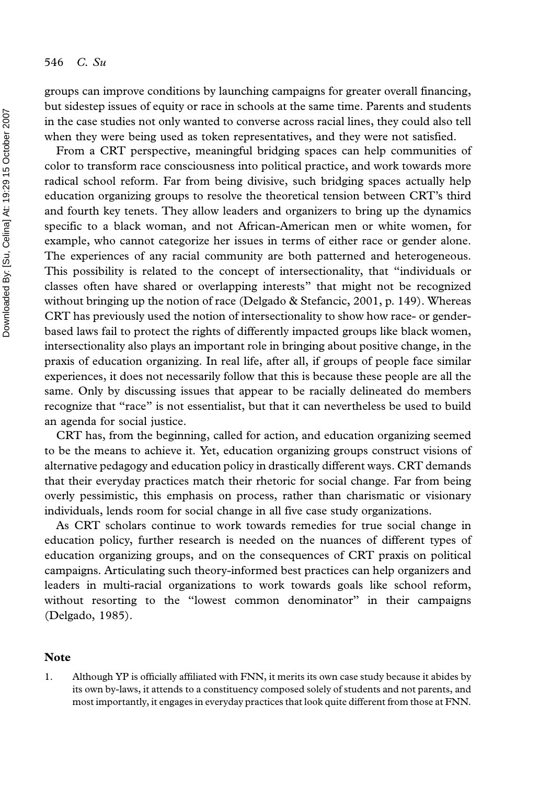groups can improve conditions by launching campaigns for greater overall financing, but sidestep issues of equity or race in schools at the same time. Parents and students in the case studies not only wanted to converse across racial lines, they could also tell when they were being used as token representatives, and they were not satisfied.

From a CRT perspective, meaningful bridging spaces can help communities of color to transform race consciousness into political practice, and work towards more radical school reform. Far from being divisive, such bridging spaces actually help education organizing groups to resolve the theoretical tension between CRT's third and fourth key tenets. They allow leaders and organizers to bring up the dynamics specific to a black woman, and not African-American men or white women, for example, who cannot categorize her issues in terms of either race or gender alone. The experiences of any racial community are both patterned and heterogeneous. This possibility is related to the concept of intersectionality, that ''individuals or classes often have shared or overlapping interests'' that might not be recognized without bringing up the notion of race (Delgado & Stefancic, 2001, p. 149). Whereas CRT has previously used the notion of intersectionality to show how race- or genderbased laws fail to protect the rights of differently impacted groups like black women, intersectionality also plays an important role in bringing about positive change, in the praxis of education organizing. In real life, after all, if groups of people face similar experiences, it does not necessarily follow that this is because these people are all the same. Only by discussing issues that appear to be racially delineated do members recognize that ''race'' is not essentialist, but that it can nevertheless be used to build an agenda for social justice.

CRT has, from the beginning, called for action, and education organizing seemed to be the means to achieve it. Yet, education organizing groups construct visions of alternative pedagogy and education policy in drastically different ways. CRT demands that their everyday practices match their rhetoric for social change. Far from being overly pessimistic, this emphasis on process, rather than charismatic or visionary individuals, lends room for social change in all five case study organizations.

As CRT scholars continue to work towards remedies for true social change in education policy, further research is needed on the nuances of different types of education organizing groups, and on the consequences of CRT praxis on political campaigns. Articulating such theory-informed best practices can help organizers and leaders in multi-racial organizations to work towards goals like school reform, without resorting to the ''lowest common denominator'' in their campaigns (Delgado, 1985).

#### Note

1. Although YP is officially affiliated with FNN, it merits its own case study because it abides by its own by-laws, it attends to a constituency composed solely of students and not parents, and most importantly, it engages in everyday practices that look quite different from those at FNN.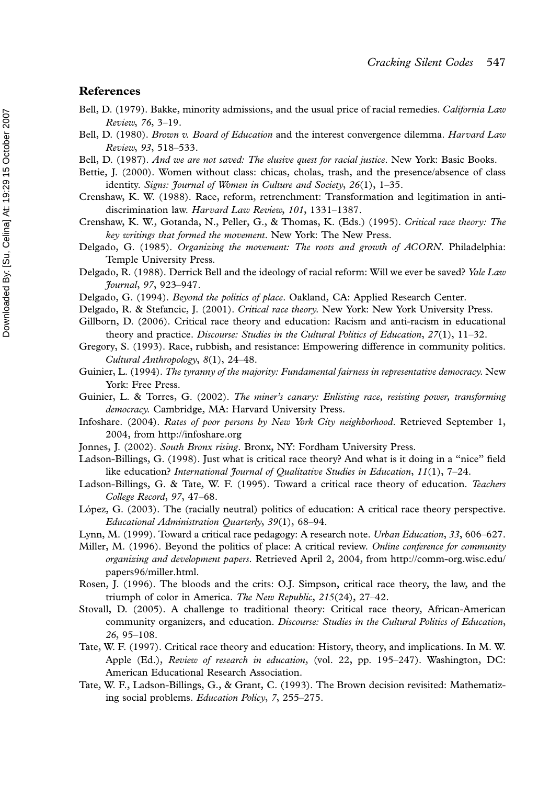#### References

- Bell, D. (1979). Bakke, minority admissions, and the usual price of racial remedies. California Law Review, 76, 3-19.
- Bell, D. (1980). Brown v. Board of Education and the interest convergence dilemma. Harvard Law Review, 93, 518-533.
- Bell, D. (1987). And we are not saved: The elusive quest for racial justice. New York: Basic Books.
- Bettie, J. (2000). Women without class: chicas, cholas, trash, and the presence/absence of class identity. Signs: Journal of Women in Culture and Society,  $26(1)$ ,  $1-35$ .
- Crenshaw, K. W. (1988). Race, reform, retrenchment: Transformation and legitimation in antidiscrimination law. Harvard Law Review, 101, 1331-1387.
- Crenshaw, K. W., Gotanda, N., Peller, G., & Thomas, K. (Eds.) (1995). Critical race theory: The key writings that formed the movement. New York: The New Press.
- Delgado, G. (1985). Organizing the movement: The roots and growth of ACORN. Philadelphia: Temple University Press.
- Delgado, R. (1988). Derrick Bell and the ideology of racial reform: Will we ever be saved? Yale Law Fournal, 97, 923-947.
- Delgado, G. (1994). Beyond the politics of place. Oakland, CA: Applied Research Center.
- Delgado, R. & Stefancic, J. (2001). Critical race theory. New York: New York University Press.
- Gillborn, D. (2006). Critical race theory and education: Racism and anti-racism in educational theory and practice. Discourse: Studies in the Cultural Politics of Education,  $27(1)$ ,  $11-32$ .
- Gregory, S. (1993). Race, rubbish, and resistance: Empowering difference in community politics. Cultural Anthropology,  $8(1)$ , 24-48.
- Guinier, L. (1994). The tyranny of the majority: Fundamental fairness in representative democracy. New York: Free Press.
- Guinier, L. & Torres, G. (2002). The miner's canary: Enlisting race, resisting power, transforming democracy. Cambridge, MA: Harvard University Press.
- Infoshare. (2004). Rates of poor persons by New York City neighborhood. Retrieved September 1, 2004, from http://infoshare.org
- Jonnes, J. (2002). South Bronx rising. Bronx, NY: Fordham University Press.
- Ladson-Billings, G. (1998). Just what is critical race theory? And what is it doing in a ''nice'' field like education? International Journal of Qualitative Studies in Education,  $11(1)$ ,  $7-24$ .
- Ladson-Billings, G. & Tate, W. F. (1995). Toward a critical race theory of education. Teachers College Record, 97, 47-68.
- López, G. (2003). The (racially neutral) politics of education: A critical race theory perspective. Educational Administration Quarterly, 39(1), 68-94.
- Lynn, M. (1999). Toward a critical race pedagogy: A research note. Urban Education, 33, 606-627.
- Miller, M. (1996). Beyond the politics of place: A critical review. Online conference for community organizing and development papers. Retrieved April 2, 2004, from http://comm-org.wisc.edu/ papers96/miller.html.
- Rosen, J. (1996). The bloods and the crits: O.J. Simpson, critical race theory, the law, and the triumph of color in America. The New Republic,  $215(24)$ ,  $27-42$ .
- Stovall, D. (2005). A challenge to traditional theory: Critical race theory, African-American community organizers, and education. Discourse: Studies in the Cultural Politics of Education,  $26, 95-108.$
- Tate, W. F. (1997). Critical race theory and education: History, theory, and implications. In M. W. Apple (Ed.), Review of research in education, (vol. 22, pp. 195–247). Washington, DC: American Educational Research Association.
- Tate, W. F., Ladson-Billings, G., & Grant, C. (1993). The Brown decision revisited: Mathematizing social problems. *Education Policy*, 7, 255–275.